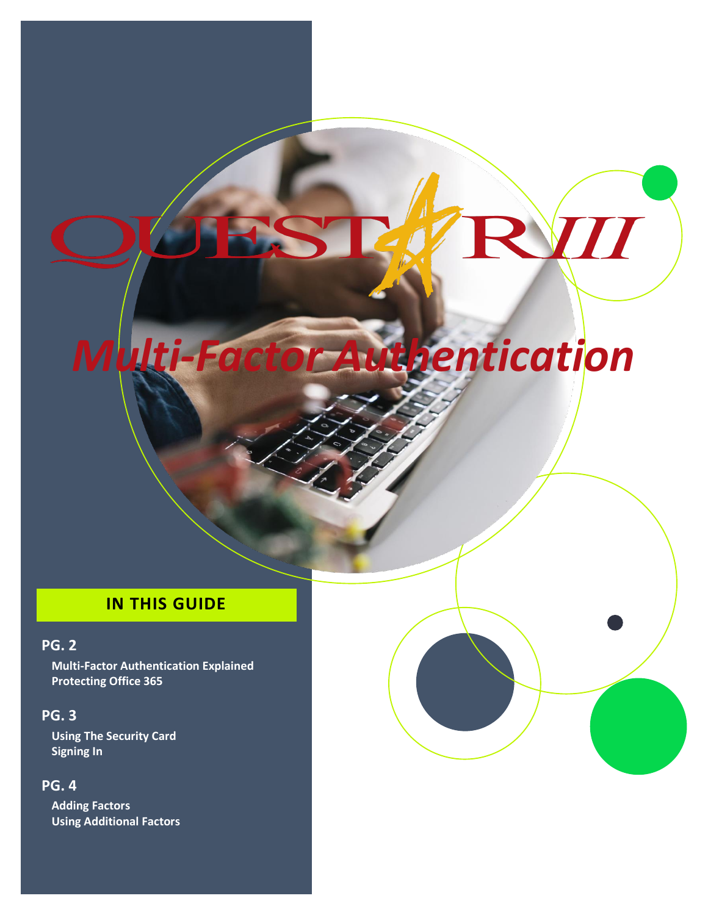# *Multi-Factor Authentication*

# **IN THIS GUIDE**

#### **PG. 2**

**Multi-Factor Authentication Explained Protecting Office 365**

#### **PG. 3**

**Using The Security Card Signing In**

#### **PG. 4**

**Adding Factors Using Additional Factors**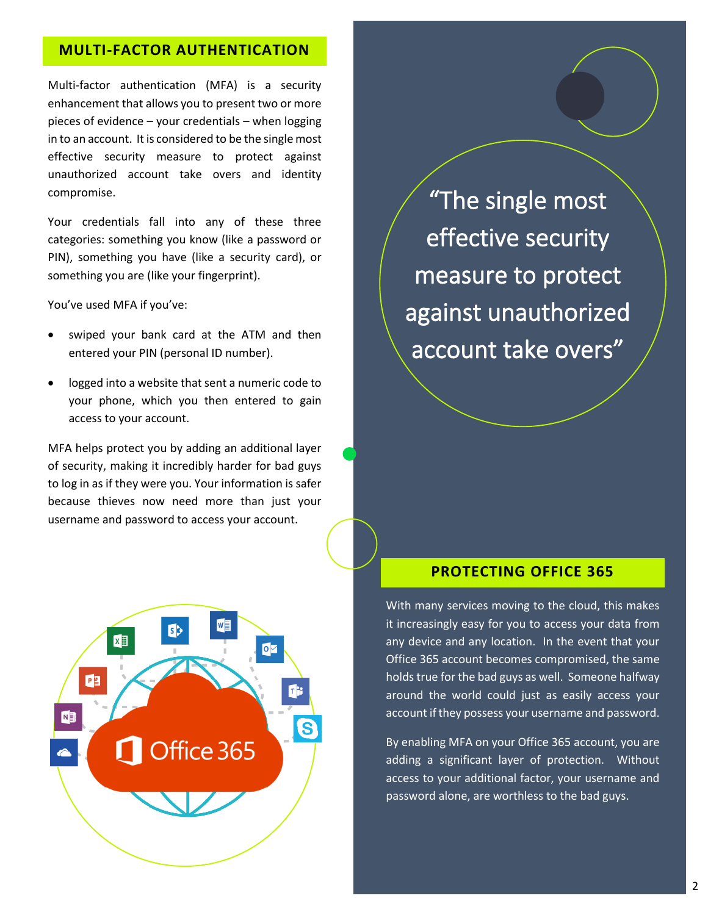#### **MULTI-FACTOR AUTHENTICATION**

Multi-factor authentication (MFA) is a security enhancement that allows you to present two or more pieces of evidence – your credentials – when logging in to an account. It is considered to be the single most effective security measure to protect against unauthorized account take overs and identity compromise.

Your credentials fall into any of these three categories: something you know (like a password or PIN), something you have (like a security card), or something you are (like your fingerprint).

You've used MFA if you've:

- swiped your bank card at the ATM and then entered your PIN (personal ID number).
- logged into a website that sent a numeric code to your phone, which you then entered to gain access to your account.

MFA helps protect you by adding an additional layer of security, making it incredibly harder for bad guys to log in as if they were you. Your information is safer because thieves now need more than just your username and password to access your account.



"The single most effective security measure to protect against unauthorized account take overs"

#### **PROTECTING OFFICE 365**

With many services moving to the cloud, this makes it increasingly easy for you to access your data from any device and any location. In the event that your Office 365 account becomes compromised, the same holds true for the bad guys as well. Someone halfway around the world could just as easily access your account if they possess your username and password.

By enabling MFA on your Office 365 account, you are adding a significant layer of protection. Without access to your additional factor, your username and password alone, are worthless to the bad guys.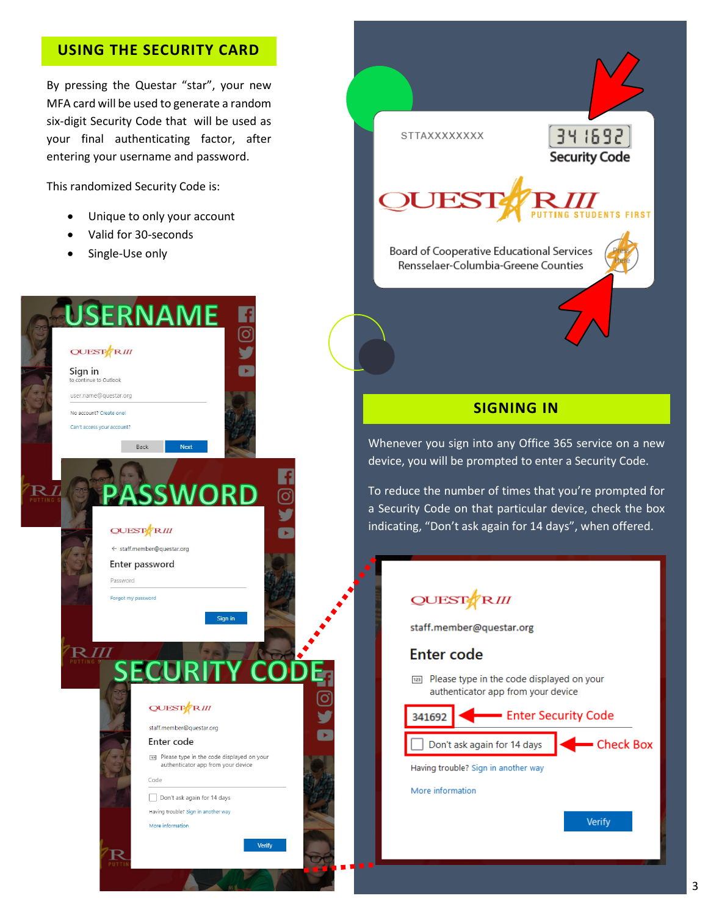### **USING THE SECURITY CARD**

By pressing the Questar "star", your new MFA card will be used to generate a random six-digit Security Code that will be used as your final authenticating factor, after entering your username and password.

This randomized Security Code is:

- Unique to only your account
- Valid for 30-seconds
- Single-Use only